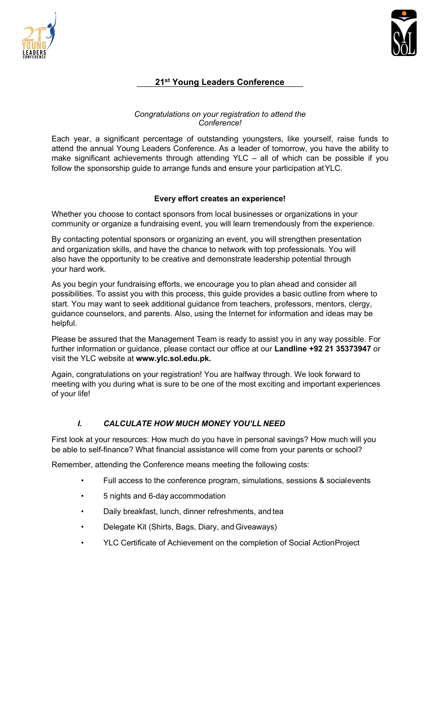



# **21st Young Leaders Conference**

#### *Congratulations on your registration to attend the Conference!*

Each year, a significant percentage of outstanding youngsters, like yourself, raise funds to attend the annual Young Leaders Conference. As a leader of tomorrow, you have the ability to make significant achievements through attending YLC – all of which can be possible if you follow the sponsorship guide to arrange funds and ensure your participation atYLC.

### **Every effort creates an experience!**

Whether you choose to contact sponsors from local businesses or organizations in your community or organize a fundraising event, you will learn tremendously from the experience.

By contacting potential sponsors or organizing an event, you will strengthen presentation and organization skills, and have the chance to network with top professionals. You will also have the opportunity to be creative and demonstrate leadership potential through your hard work.

As you begin your fundraising efforts, we encourage you to plan ahead and consider all possibilities. To assist you with this process, this guide provides a basic outline from where to start. You may want to seek additional guidance from teachers, professors, mentors, clergy, guidance counselors, and parents. Also, using the Internet for information and ideas may be helpful.

Please be assured that the Management Team is ready to assist you in any way possible. For further information or guidance, please contact our office at our **Landline +92 21 35373947** or visit the YLC website at **www.ylc.sol.edu.pk.**

Again, congratulations on your registration! You are halfway through. We look forward to meeting with you during what is sure to be one of the most exciting and important experiences of your life!

## *I. CALCULATE HOW MUCH MONEY YOU'LL NEED*

First look at your resources: How much do you have in personal savings? How much will you be able to self-finance? What financial assistance will come from your parents or school?

Remember, attending the Conference means meeting the following costs:

- Full access to the conference program, simulations, sessions & socialevents
- 5 nights and 6-day accommodation
- Daily breakfast, lunch, dinner refreshments, and tea
- Delegate Kit (Shirts, Bags, Diary, and Giveaways)
- YLC Certificate of Achievement on the completion of Social ActionProject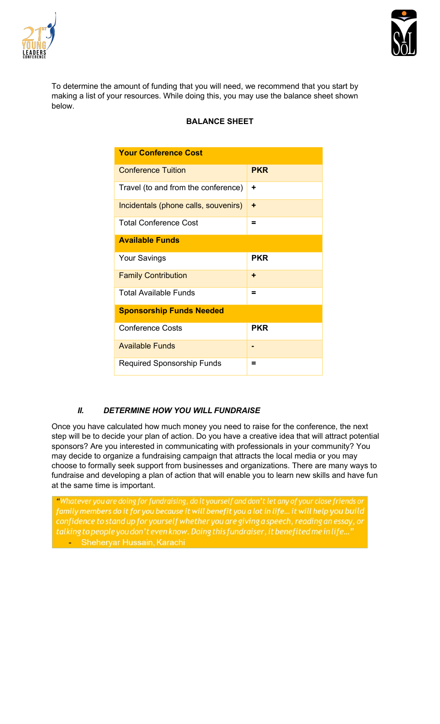



To determine the amount of funding that you will need, we recommend that you start by making a list of your resources. While doing this, you may use the balance sheet shown below.

|  | <b>BALANCE SHEET</b> |
|--|----------------------|
|  |                      |

| <b>Your Conference Cost</b>          |            |  |
|--------------------------------------|------------|--|
| <b>Conference Tuition</b>            | <b>PKR</b> |  |
| Travel (to and from the conference)  | ÷          |  |
| Incidentals (phone calls, souvenirs) | ٠          |  |
| <b>Total Conference Cost</b>         | =          |  |
| <b>Available Funds</b>               |            |  |
| <b>Your Savings</b>                  | <b>PKR</b> |  |
| <b>Family Contribution</b>           | ٠          |  |
| Total Available Funds                | =          |  |
| <b>Sponsorship Funds Needed</b>      |            |  |
| <b>Conference Costs</b>              | <b>PKR</b> |  |
| <b>Available Funds</b>               |            |  |
| <b>Required Sponsorship Funds</b>    | =          |  |

## *II. DETERMINE HOW YOU WILL FUNDRAISE*

Once you have calculated how much money you need to raise for the conference, the next step will be to decide your plan of action. Do you have a creative idea that will attract potential sponsors? Are you interested in communicating with professionals in your community? You may decide to organize a fundraising campaign that attracts the local media or you may choose to formally seek support from businesses and organizations. There are many ways to fundraise and developing a plan of action that will enable you to learn new skills and have fun at the same time is important.

"Whatever you are doing for fundraising, do it yourself and don't let any of your close friends or family members do it for you because it will benefit you a lot in life... it will help you build confidence to stand up for yourself whether you are giving a speech, reading an essay, or talking to people you don't even know. Doing this fundraiser, it benefited me in life... **Example: Sheheryar Hussain, Karachi**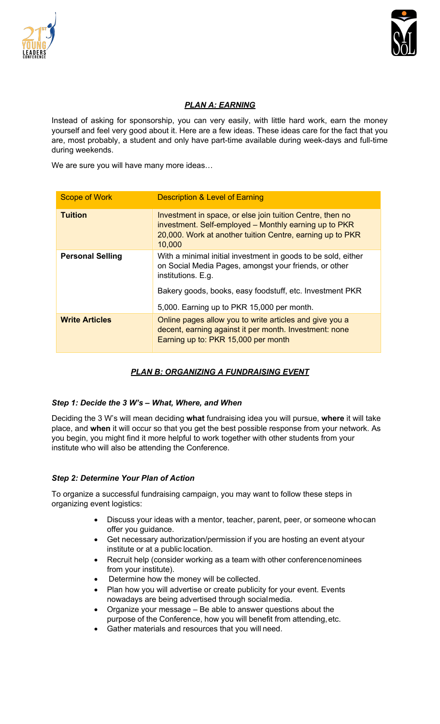



## *PLAN A: EARNING*

Instead of asking for sponsorship, you can very easily, with little hard work, earn the money yourself and feel very good about it. Here are a few ideas. These ideas care for the fact that you are, most probably, a student and only have part-time available during week-days and full-time during weekends.

We are sure you will have many more ideas…

| <b>Scope of Work</b>    | <b>Description &amp; Level of Earning</b>                                                                                                                                                 |
|-------------------------|-------------------------------------------------------------------------------------------------------------------------------------------------------------------------------------------|
| <b>Tuition</b>          | Investment in space, or else join tuition Centre, then no<br>investment. Self-employed – Monthly earning up to PKR<br>20,000. Work at another tuition Centre, earning up to PKR<br>10,000 |
| <b>Personal Selling</b> | With a minimal initial investment in goods to be sold, either<br>on Social Media Pages, amongst your friends, or other<br>institutions. E.g.                                              |
|                         | Bakery goods, books, easy foodstuff, etc. Investment PKR                                                                                                                                  |
|                         | 5,000. Earning up to PKR 15,000 per month.                                                                                                                                                |
| <b>Write Articles</b>   | Online pages allow you to write articles and give you a<br>decent, earning against it per month. Investment: none<br>Earning up to: PKR 15,000 per month                                  |

# *PLAN B: ORGANIZING A FUNDRAISING EVENT*

## *Step 1: Decide the 3 W's – What, Where, and When*

Deciding the 3 W's will mean deciding **what** fundraising idea you will pursue, **where** it will take place, and **when** it will occur so that you get the best possible response from your network. As you begin, you might find it more helpful to work together with other students from your institute who will also be attending the Conference.

## *Step 2: Determine Your Plan of Action*

To organize a successful fundraising campaign, you may want to follow these steps in organizing event logistics:

- Discuss your ideas with a mentor, teacher, parent, peer, or someone whocan offer you guidance.
- Get necessary authorization/permission if you are hosting an event atyour institute or at a public location.
- Recruit help (consider working as a team with other conferencenominees from your institute).
- Determine how the money will be collected.
- Plan how you will advertise or create publicity for your event. Events nowadays are being advertised through socialmedia.
- Organize your message Be able to answer questions about the purpose of the Conference, how you will benefit from attending,etc.
- Gather materials and resources that you will need.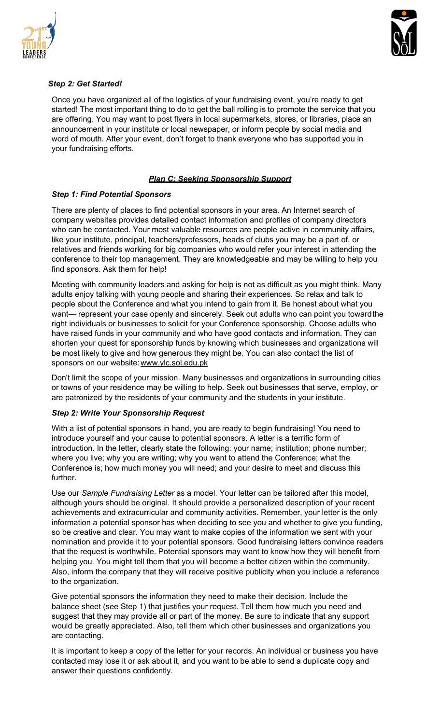



### *Step 2: Get Started!*

Once you have organized all of the logistics of your fundraising event, you're ready to get started! The most important thing to do to get the ball rolling is to promote the service that you are offering. You may want to post flyers in local supermarkets, stores, or libraries, place an announcement in your institute or local newspaper, or inform people by social media and word of mouth. After your event, don't forget to thank everyone who has supported you in your fundraising efforts.

### *Plan C: Seeking Sponsorship Support*

### *Step 1: Find Potential Sponsors*

There are plenty of places to find potential sponsors in your area. An Internet search of company websites provides detailed contact information and profiles of company directors who can be contacted. Your most valuable resources are people active in community affairs, like your institute, principal, teachers/professors, heads of clubs you may be a part of, or relatives and friends working for big companies who would refer your interest in attending the conference to their top management. They are knowledgeable and may be willing to help you find sponsors. Ask them for help!

Meeting with community leaders and asking for help is not as difficult as you might think. Many adults enjoy talking with young people and sharing their experiences. So relax and talk to people about the Conference and what you intend to gain from it. Be honest about what you want— represent your case openly and sincerely. Seek out adults who can point you towardthe right individuals or businesses to solicit for your Conference sponsorship. Choose adults who have raised funds in your community and who have good contacts and information. They can shorten your quest for sponsorship funds by knowing which businesses and organizations will be most likely to give and how generous they might be. You can also contact the list of sponsors on our website: www.ylc.sol.edu.pk

Don't limit the scope of your mission. Many businesses and organizations in surrounding cities or towns of your residence may be willing to help. Seek out businesses that serve, employ, or are patronized by the residents of your community and the students in your institute.

#### *Step 2: Write Your Sponsorship Request*

With a list of potential sponsors in hand, you are ready to begin fundraising! You need to introduce yourself and your cause to potential sponsors. A letter is a terrific form of introduction. In the letter, clearly state the following: your name; institution; phone number; where you live; why you are writing; why you want to attend the Conference; what the Conference is; how much money you will need; and your desire to meet and discuss this further.

Use our *Sample Fundraising Letter* as a model. Your letter can be tailored after this model, although yours should be original. It should provide a personalized description of your recent achievements and extracurricular and community activities. Remember, your letter is the only information a potential sponsor has when deciding to see you and whether to give you funding, so be creative and clear. You may want to make copies of the information we sent with your nomination and provide it to your potential sponsors. Good fundraising letters convince readers that the request is worthwhile. Potential sponsors may want to know how they will benefit from helping you. You might tell them that you will become a better citizen within the community. Also, inform the company that they will receive positive publicity when you include a reference to the organization.

Give potential sponsors the information they need to make their decision. Include the balance sheet (see Step 1) that justifies your request. Tell them how much you need and suggest that they may provide all or part of the money. Be sure to indicate that any support would be greatly appreciated. Also, tell them which other businesses and organizations you are contacting.

It is important to keep a copy of the letter for your records. An individual or business you have contacted may lose it or ask about it, and you want to be able to send a duplicate copy and answer their questions confidently.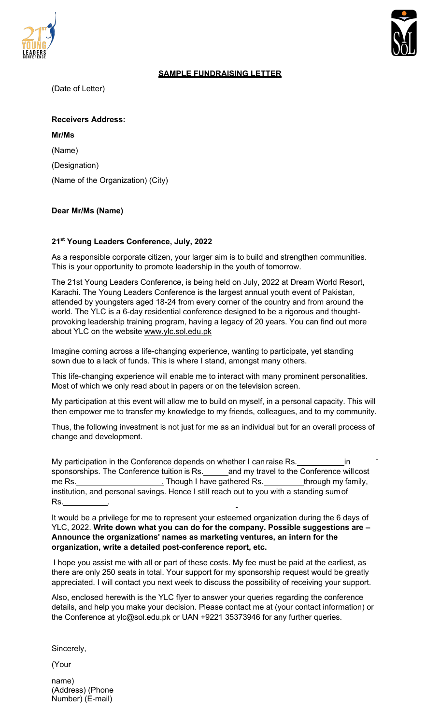



### **SAMPLE FUNDRAISING LETTER**

(Date of Letter)

**Receivers Address:**

**Mr/Ms**  (Name) (Designation) (Name of the Organization) (City)

## **Dear Mr/Ms (Name)**

### **21st Young Leaders Conference, July, 2022**

As a responsible corporate citizen, your larger aim is to build and strengthen communities. This is your opportunity to promote leadership in the youth of tomorrow.

The 21st Young Leaders Conference, is being held on July, 2022 at Dream World Resort, Karachi. The Young Leaders Conference is the largest annual youth event of Pakistan, attended by youngsters aged 18-24 from every corner of the country and from around the world. The YLC is a 6-day residential conference designed to be a rigorous and thoughtprovoking leadership training program, having a legacy of 20 years. You can find out more about YLC on the website www.ylc.sol.edu.pk

Imagine coming across a life-changing experience, wanting to participate, yet standing sown due to a lack of funds. This is where I stand, amongst many others.

This life-changing experience will enable me to interact with many prominent personalities. Most of which we only read about in papers or on the television screen.

My participation at this event will allow me to build on myself, in a personal capacity. This will then empower me to transfer my knowledge to my friends, colleagues, and to my community.

Thus, the following investment is not just for me as an individual but for an overall process of change and development.

My participation in the Conference depends on whether I can raise Rs. **in** in sponsorships. The Conference tuition is Rs. \_\_\_\_\_\_ and my travel to the Conference will cost me Rs. . Though I have gathered Rs. through my family, institution, and personal savings. Hence I still reach out to you with a standing sumof Rs. .

It would be a privilege for me to represent your esteemed organization during the 6 days of YLC, 2022. **Write down what you can do for the company. Possible suggestions are – Announce the organizations' names as marketing ventures, an intern for the organization, write a detailed post-conference report, etc.**

I hope you assist me with all or part of these costs. My fee must be paid at the earliest, as there are only 250 seats in total. Your support for my sponsorship request would be greatly appreciated. I will contact you next week to discuss the possibility of receiving your support.

Also, enclosed herewith is the YLC flyer to answer your queries regarding the conference details, and help you make your decision. Please contact me at (your contact information) or the Conference at ylc@sol.edu.pk or UAN +9221 35373946 for any further queries.

Sincerely,

(Your

name) (Address) (Phone Number) (E-mail)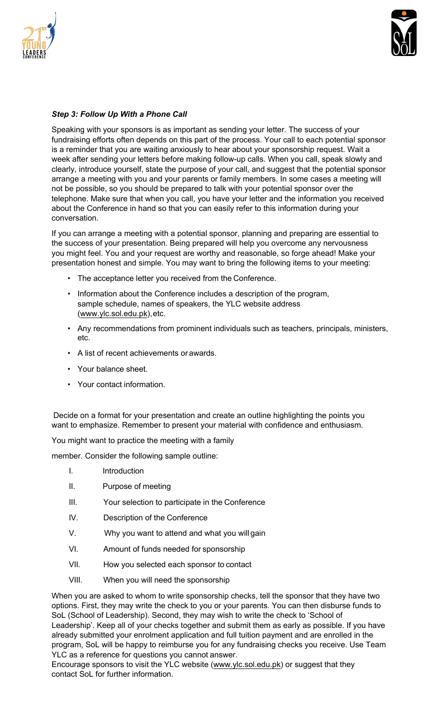



### *Step 3: Follow Up With a Phone Call*

Speaking with your sponsors is as important as sending your letter. The success of your fundraising efforts often depends on this part of the process. Your call to each potential sponsor is a reminder that you are waiting anxiously to hear about your sponsorship request. Wait a week after sending your letters before making follow-up calls. When you call, speak slowly and clearly, introduce yourself, state the purpose of your call, and suggest that the potential sponsor arrange a meeting with you and your parents or family members. In some cases a meeting will not be possible, so you should be prepared to talk with your potential sponsor over the telephone. Make sure that when you call, you have your letter and the information you received about the Conference in hand so that you can easily refer to this information during your conversation.

If you can arrange a meeting with a potential sponsor, planning and preparing are essential to the success of your presentation. Being prepared will help you overcome any nervousness you might feel. You and your request are worthy and reasonable, so forge ahead! Make your presentation honest and simple. You may want to bring the following items to your meeting:

- The acceptance letter you received from the Conference.
- Information about the Conference includes a description of the program, sample schedule, names of speakers, the YLC website address (www.ylc.sol.edu.pk),etc.
- Any recommendations from prominent individuals such as teachers, principals, ministers, etc.
- A list of recent achievements or awards.
- Your balance sheet.
- Your contact information.

Decide on a format for your presentation and create an outline highlighting the points you want to emphasize. Remember to present your material with confidence and enthusiasm.

You might want to practice the meeting with a family

member. Consider the following sample outline:

- I. Introduction
- II. Purpose of meeting
- III. Your selection to participate in the Conference
- IV. Description of the Conference
- V. Why you want to attend and what you will gain
- VI. Amount of funds needed for sponsorship
- VII. How you selected each sponsor to contact
- VIII. When you will need the sponsorship

When you are asked to whom to write sponsorship checks, tell the sponsor that they have two options. First, they may write the check to you or your parents. You can then disburse funds to SoL (School of Leadership). Second, they may wish to write the check to 'School of Leadership'. Keep all of your checks together and submit them as early as possible. If you have already submitted your enrolment application and full tuition payment and are enrolled in the program, SoL will be happy to reimburse you for any fundraising checks you receive. Use Team YLC as a reference for questions you cannot answer.

Encourage sponsors to visit the YLC website (www.ylc.sol.edu.pk) or suggest that they contact SoL for further information.